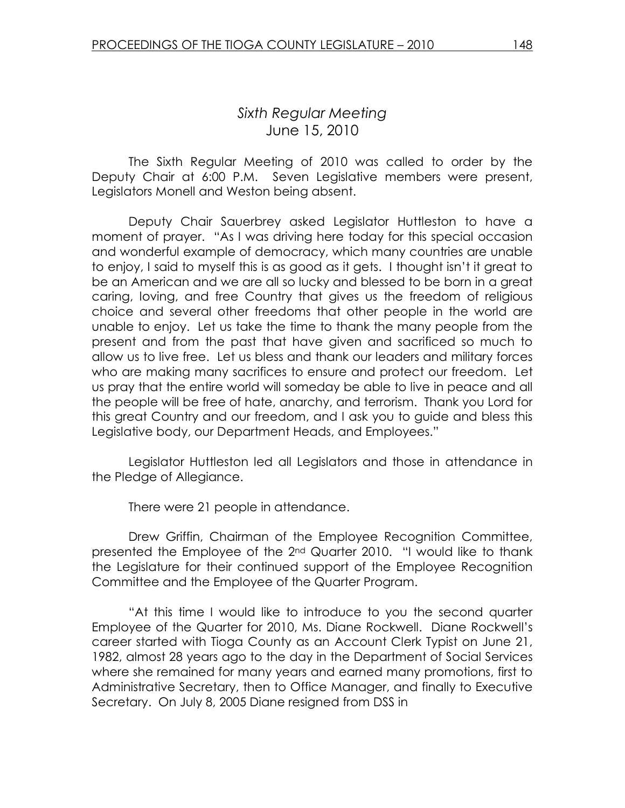## Sixth Regular Meeting June 15, 2010

 The Sixth Regular Meeting of 2010 was called to order by the Deputy Chair at 6:00 P.M. Seven Legislative members were present, Legislators Monell and Weston being absent.

 Deputy Chair Sauerbrey asked Legislator Huttleston to have a moment of prayer. "As I was driving here today for this special occasion and wonderful example of democracy, which many countries are unable to enjoy, I said to myself this is as good as it gets. I thought isn't it great to be an American and we are all so lucky and blessed to be born in a great caring, loving, and free Country that gives us the freedom of religious choice and several other freedoms that other people in the world are unable to enjoy. Let us take the time to thank the many people from the present and from the past that have given and sacrificed so much to allow us to live free. Let us bless and thank our leaders and military forces who are making many sacrifices to ensure and protect our freedom. Let us pray that the entire world will someday be able to live in peace and all the people will be free of hate, anarchy, and terrorism. Thank you Lord for this great Country and our freedom, and I ask you to guide and bless this Legislative body, our Department Heads, and Employees."

 Legislator Huttleston led all Legislators and those in attendance in the Pledge of Allegiance.

There were 21 people in attendance.

 Drew Griffin, Chairman of the Employee Recognition Committee, presented the Employee of the 2<sup>nd</sup> Quarter 2010. "I would like to thank the Legislature for their continued support of the Employee Recognition Committee and the Employee of the Quarter Program.

 "At this time I would like to introduce to you the second quarter Employee of the Quarter for 2010, Ms. Diane Rockwell. Diane Rockwell's career started with Tioga County as an Account Clerk Typist on June 21, 1982, almost 28 years ago to the day in the Department of Social Services where she remained for many years and earned many promotions, first to Administrative Secretary, then to Office Manager, and finally to Executive Secretary. On July 8, 2005 Diane resigned from DSS in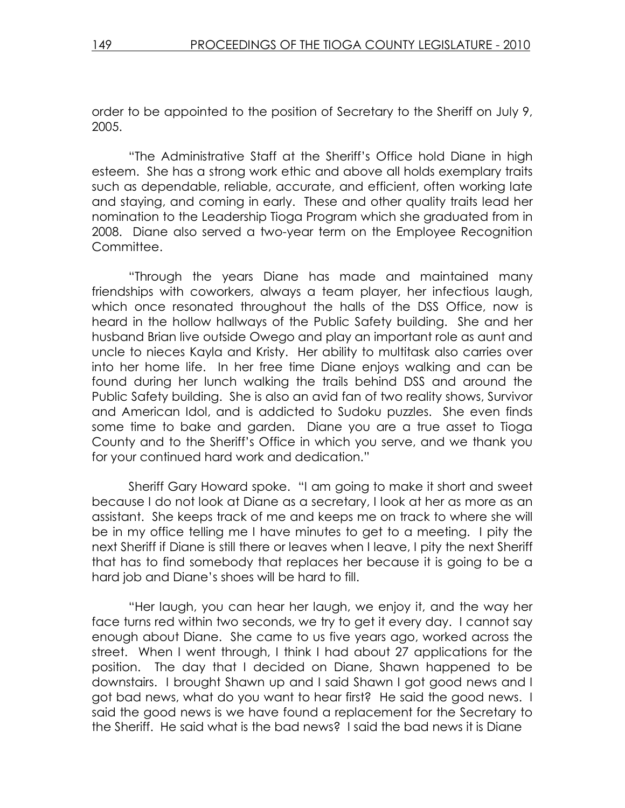order to be appointed to the position of Secretary to the Sheriff on July 9, 2005.

"The Administrative Staff at the Sheriff's Office hold Diane in high esteem. She has a strong work ethic and above all holds exemplary traits such as dependable, reliable, accurate, and efficient, often working late and staying, and coming in early. These and other quality traits lead her nomination to the Leadership Tioga Program which she graduated from in 2008. Diane also served a two-year term on the Employee Recognition Committee.

 "Through the years Diane has made and maintained many friendships with coworkers, always a team player, her infectious laugh, which once resonated throughout the halls of the DSS Office, now is heard in the hollow hallways of the Public Safety building. She and her husband Brian live outside Owego and play an important role as aunt and uncle to nieces Kayla and Kristy. Her ability to multitask also carries over into her home life. In her free time Diane enjoys walking and can be found during her lunch walking the trails behind DSS and around the Public Safety building. She is also an avid fan of two reality shows, Survivor and American Idol, and is addicted to Sudoku puzzles. She even finds some time to bake and garden. Diane you are a true asset to Tioga County and to the Sheriff's Office in which you serve, and we thank you for your continued hard work and dedication."

 Sheriff Gary Howard spoke. "I am going to make it short and sweet because I do not look at Diane as a secretary, I look at her as more as an assistant. She keeps track of me and keeps me on track to where she will be in my office telling me I have minutes to get to a meeting. I pity the next Sheriff if Diane is still there or leaves when I leave, I pity the next Sheriff that has to find somebody that replaces her because it is going to be a hard job and Diane's shoes will be hard to fill.

 "Her laugh, you can hear her laugh, we enjoy it, and the way her face turns red within two seconds, we try to get it every day. I cannot say enough about Diane. She came to us five years ago, worked across the street. When I went through, I think I had about 27 applications for the position. The day that I decided on Diane, Shawn happened to be downstairs. I brought Shawn up and I said Shawn I got good news and I got bad news, what do you want to hear first? He said the good news. I said the good news is we have found a replacement for the Secretary to the Sheriff. He said what is the bad news? I said the bad news it is Diane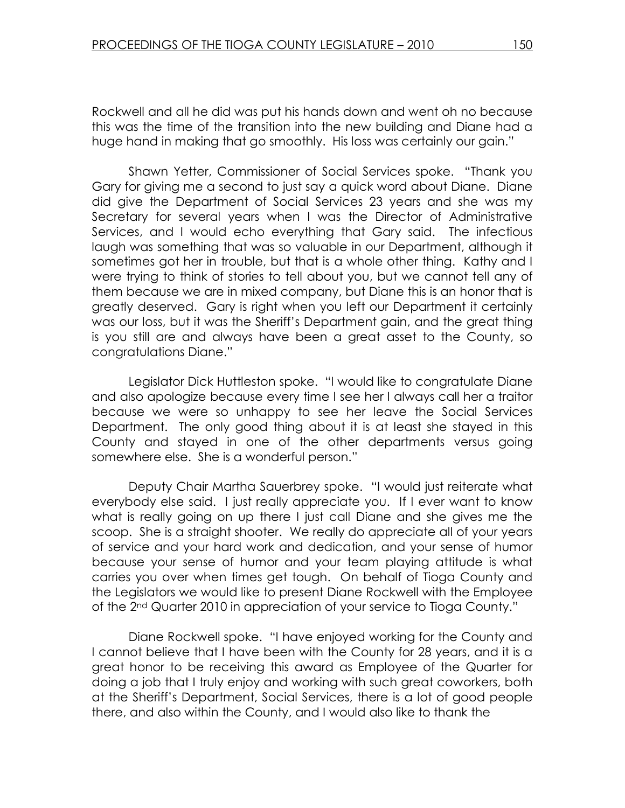Rockwell and all he did was put his hands down and went oh no because this was the time of the transition into the new building and Diane had a huge hand in making that go smoothly. His loss was certainly our gain."

 Shawn Yetter, Commissioner of Social Services spoke. "Thank you Gary for giving me a second to just say a quick word about Diane. Diane did give the Department of Social Services 23 years and she was my Secretary for several years when I was the Director of Administrative Services, and I would echo everything that Gary said. The infectious laugh was something that was so valuable in our Department, although it sometimes got her in trouble, but that is a whole other thing. Kathy and I were trying to think of stories to tell about you, but we cannot tell any of them because we are in mixed company, but Diane this is an honor that is greatly deserved. Gary is right when you left our Department it certainly was our loss, but it was the Sheriff's Department gain, and the great thing is you still are and always have been a great asset to the County, so congratulations Diane."

 Legislator Dick Huttleston spoke. "I would like to congratulate Diane and also apologize because every time I see her I always call her a traitor because we were so unhappy to see her leave the Social Services Department. The only good thing about it is at least she stayed in this County and stayed in one of the other departments versus going somewhere else. She is a wonderful person."

 Deputy Chair Martha Sauerbrey spoke. "I would just reiterate what everybody else said. I just really appreciate you. If I ever want to know what is really going on up there I just call Diane and she gives me the scoop. She is a straight shooter. We really do appreciate all of your years of service and your hard work and dedication, and your sense of humor because your sense of humor and your team playing attitude is what carries you over when times get tough. On behalf of Tioga County and the Legislators we would like to present Diane Rockwell with the Employee of the 2nd Quarter 2010 in appreciation of your service to Tioga County."

 Diane Rockwell spoke. "I have enjoyed working for the County and I cannot believe that I have been with the County for 28 years, and it is a great honor to be receiving this award as Employee of the Quarter for doing a job that I truly enjoy and working with such great coworkers, both at the Sheriff's Department, Social Services, there is a lot of good people there, and also within the County, and I would also like to thank the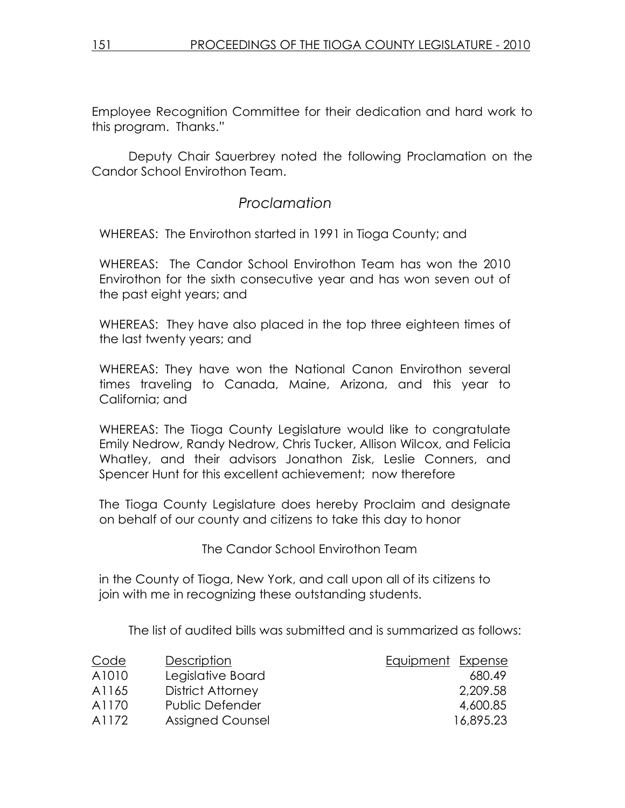Employee Recognition Committee for their dedication and hard work to this program. Thanks."

 Deputy Chair Sauerbrey noted the following Proclamation on the Candor School Envirothon Team.

# Proclamation

WHEREAS: The Envirothon started in 1991 in Tioga County; and

WHEREAS: The Candor School Envirothon Team has won the 2010 Envirothon for the sixth consecutive year and has won seven out of the past eight years; and

WHEREAS: They have also placed in the top three eighteen times of the last twenty years; and

WHEREAS: They have won the National Canon Envirothon several times traveling to Canada, Maine, Arizona, and this year to California; and

WHEREAS: The Tioga County Legislature would like to congratulate Emily Nedrow, Randy Nedrow, Chris Tucker, Allison Wilcox, and Felicia Whatley, and their advisors Jonathon Zisk, Leslie Conners, and Spencer Hunt for this excellent achievement; now therefore

The Tioga County Legislature does hereby Proclaim and designate on behalf of our county and citizens to take this day to honor

The Candor School Envirothon Team

in the County of Tioga, New York, and call upon all of its citizens to join with me in recognizing these outstanding students.

The list of audited bills was submitted and is summarized as follows:

| Description       | <b>Equipment Expense</b> |           |
|-------------------|--------------------------|-----------|
| Legislative Board |                          | 680.49    |
| District Attorney |                          | 2.209.58  |
| Public Defender   |                          | 4,600.85  |
| Assigned Counsel  |                          | 16,895.23 |
|                   |                          |           |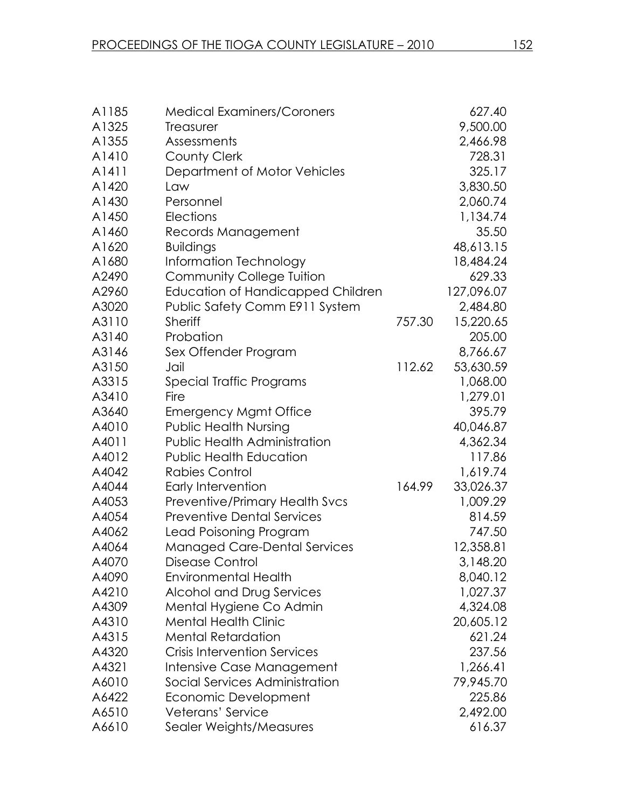| A1185 | <b>Medical Examiners/Coroners</b>        |        | 627.40     |
|-------|------------------------------------------|--------|------------|
| A1325 | <b>Treasurer</b>                         |        | 9,500.00   |
| A1355 | Assessments                              |        | 2,466.98   |
| A1410 | <b>County Clerk</b>                      |        | 728.31     |
| A1411 | Department of Motor Vehicles             |        | 325.17     |
| A1420 | Law                                      |        | 3,830.50   |
| A1430 | Personnel                                |        | 2,060.74   |
| A1450 | Elections                                |        | 1,134.74   |
| A1460 | Records Management                       |        | 35.50      |
| A1620 | <b>Buildings</b>                         |        | 48,613.15  |
| A1680 | Information Technology                   |        | 18,484.24  |
| A2490 | <b>Community College Tuition</b>         |        | 629.33     |
| A2960 | <b>Education of Handicapped Children</b> |        | 127,096.07 |
| A3020 | Public Safety Comm E911 System           |        | 2,484.80   |
| A3110 | <b>Sheriff</b>                           | 757.30 | 15,220.65  |
| A3140 | Probation                                |        | 205.00     |
| A3146 | Sex Offender Program                     |        | 8,766.67   |
| A3150 | Jail                                     | 112.62 | 53,630.59  |
| A3315 | Special Traffic Programs                 |        | 1,068.00   |
| A3410 | Fire                                     |        | 1,279.01   |
| A3640 | <b>Emergency Mgmt Office</b>             |        | 395.79     |
| A4010 | <b>Public Health Nursing</b>             |        | 40,046.87  |
| A4011 | Public Health Administration             |        | 4,362.34   |
| A4012 | <b>Public Health Education</b>           |        | 117.86     |
| A4042 | <b>Rabies Control</b>                    |        | 1,619.74   |
| A4044 | Early Intervention                       | 164.99 | 33,026.37  |
| A4053 | <b>Preventive/Primary Health Svcs</b>    |        | 1,009.29   |
| A4054 | <b>Preventive Dental Services</b>        |        | 814.59     |
| A4062 | Lead Poisoning Program                   |        | 747.50     |
| A4064 | <b>Managed Care-Dental Services</b>      |        | 12,358.81  |
| A4070 | Disease Control                          |        | 3,148.20   |
| A4090 | <b>Environmental Health</b>              |        | 8,040.12   |
| A4210 | Alcohol and Drug Services                |        | 1,027.37   |
| A4309 | Mental Hygiene Co Admin                  |        | 4,324.08   |
| A4310 | <b>Mental Health Clinic</b>              |        | 20,605.12  |
| A4315 | <b>Mental Retardation</b>                |        | 621.24     |
| A4320 | <b>Crisis Intervention Services</b>      |        | 237.56     |
| A4321 | Intensive Case Management                |        | 1,266.41   |
| A6010 | Social Services Administration           |        | 79,945.70  |
| A6422 | Economic Development                     |        | 225.86     |
| A6510 | Veterans' Service                        |        | 2,492.00   |
| A6610 | Sealer Weights/Measures                  |        | 616.37     |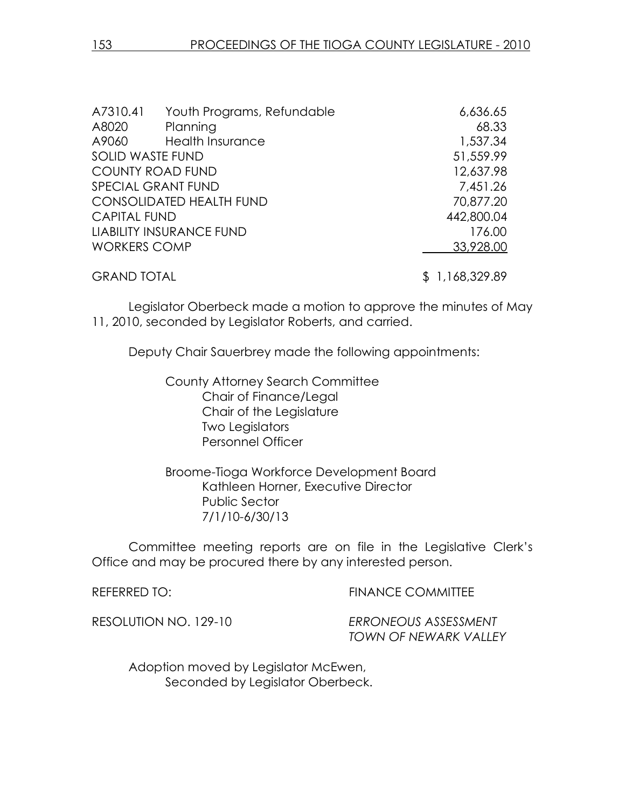| A7310.41                | Youth Programs, Refundable      | 6,636.65       |
|-------------------------|---------------------------------|----------------|
| A8020                   | Planning                        | 68.33          |
| A9060                   | <b>Health Insurance</b>         | 1,537.34       |
| <b>SOLID WASTE FUND</b> |                                 | 51,559.99      |
| <b>COUNTY ROAD FUND</b> |                                 | 12,637.98      |
| SPECIAL GRANT FUND      |                                 | 7,451.26       |
|                         | <b>CONSOLIDATED HEALTH FUND</b> | 70,877.20      |
| <b>CAPITAL FUND</b>     |                                 | 442,800.04     |
|                         | <b>LIABILITY INSURANCE FUND</b> | 176.00         |
| <b>WORKERS COMP</b>     |                                 | 33,928.00      |
| <b>GRAND TOTAL</b>      |                                 | \$1,168,329.89 |

Legislator Oberbeck made a motion to approve the minutes of May 11, 2010, seconded by Legislator Roberts, and carried.

Deputy Chair Sauerbrey made the following appointments:

 County Attorney Search Committee Chair of Finance/Legal Chair of the Legislature Two Legislators Personnel Officer

 Broome-Tioga Workforce Development Board Kathleen Horner, Executive Director Public Sector 7/1/10-6/30/13

Committee meeting reports are on file in the Legislative Clerk's Office and may be procured there by any interested person.

REFERRED TO: THE REFERRED TO: THE REFERRED TO:

RESOLUTION NO. 129-10 ERRONEOUS ASSESSMENT TOWN OF NEWARK VALLEY

 Adoption moved by Legislator McEwen, Seconded by Legislator Oberbeck.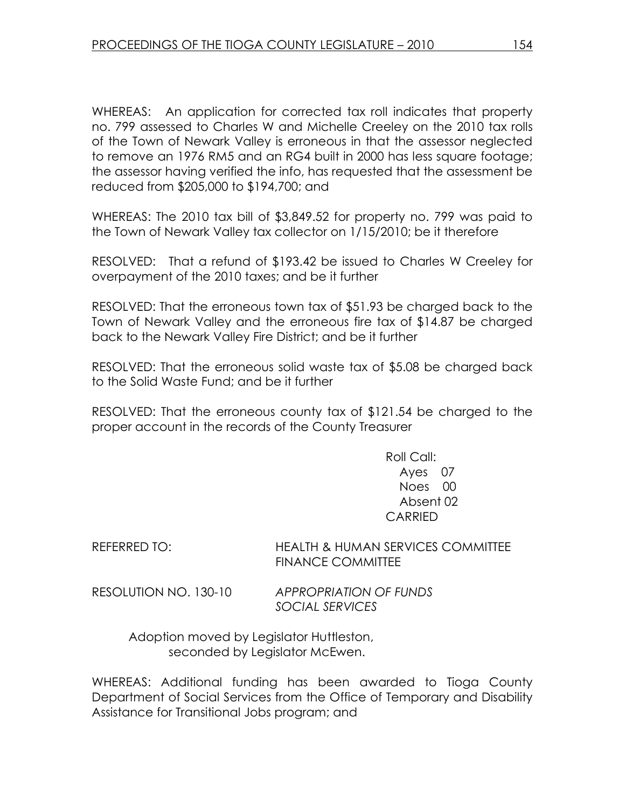WHEREAS: An application for corrected tax roll indicates that property no. 799 assessed to Charles W and Michelle Creeley on the 2010 tax rolls of the Town of Newark Valley is erroneous in that the assessor neglected to remove an 1976 RM5 and an RG4 built in 2000 has less square footage; the assessor having verified the info, has requested that the assessment be reduced from \$205,000 to \$194,700; and

WHEREAS: The 2010 tax bill of \$3,849.52 for property no. 799 was paid to the Town of Newark Valley tax collector on 1/15/2010; be it therefore

RESOLVED: That a refund of \$193.42 be issued to Charles W Creeley for overpayment of the 2010 taxes; and be it further

RESOLVED: That the erroneous town tax of \$51.93 be charged back to the Town of Newark Valley and the erroneous fire tax of \$14.87 be charged back to the Newark Valley Fire District; and be it further

RESOLVED: That the erroneous solid waste tax of \$5.08 be charged back to the Solid Waste Fund; and be it further

RESOLVED: That the erroneous county tax of \$121.54 be charged to the proper account in the records of the County Treasurer

> Roll Call: Ayes 07 Noes 00 Absent 02 CARRIED

REFERRED TO: HEALTH & HUMAN SERVICES COMMITTEE FINANCE COMMITTEE

RESOLUTION NO. 130-10 APPROPRIATION OF FUNDS

SOCIAL SERVICES

 Adoption moved by Legislator Huttleston, seconded by Legislator McEwen.

WHEREAS: Additional funding has been awarded to Tioga County Department of Social Services from the Office of Temporary and Disability Assistance for Transitional Jobs program; and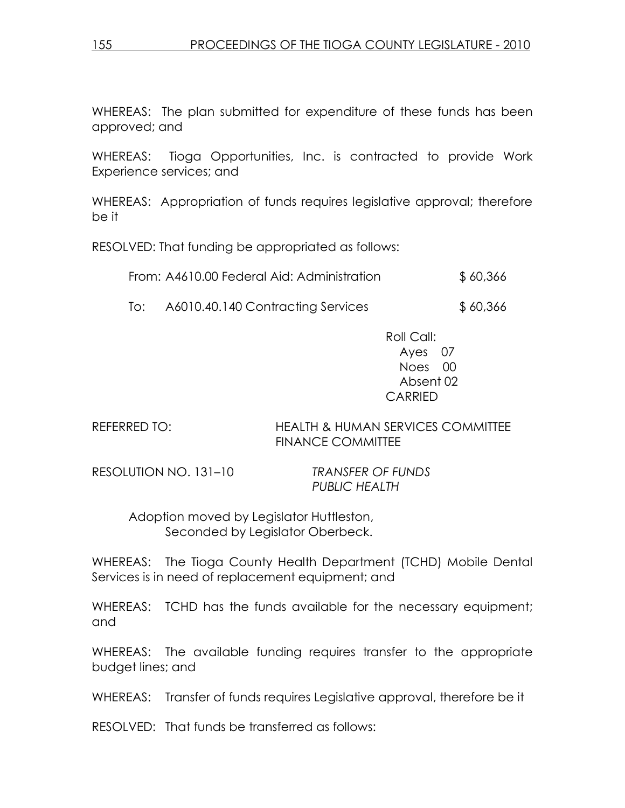WHEREAS: The plan submitted for expenditure of these funds has been approved; and

WHEREAS: Tioga Opportunities, Inc. is contracted to provide Work Experience services; and

WHEREAS: Appropriation of funds requires legislative approval; therefore be it

RESOLVED: That funding be appropriated as follows:

| From: A4610.00 Federal Aid: Administration | \$60,366 |
|--------------------------------------------|----------|
|--------------------------------------------|----------|

To: A6010.40.140 Contracting Services \$ 60,366

 Roll Call: Ayes 07 Noes 00 Absent 02 CARRIED

REFERRED TO: HEALTH & HUMAN SERVICES COMMITTEE FINANCE COMMITTEE

RESOLUTION NO. 131–10 TRANSFER OF FUNDS

PUBLIC HEALTH

 Adoption moved by Legislator Huttleston, Seconded by Legislator Oberbeck.

WHEREAS: The Tioga County Health Department (TCHD) Mobile Dental Services is in need of replacement equipment; and

WHEREAS: TCHD has the funds available for the necessary equipment; and

WHEREAS: The available funding requires transfer to the appropriate budget lines; and

WHEREAS: Transfer of funds requires Legislative approval, therefore be it

RESOLVED: That funds be transferred as follows: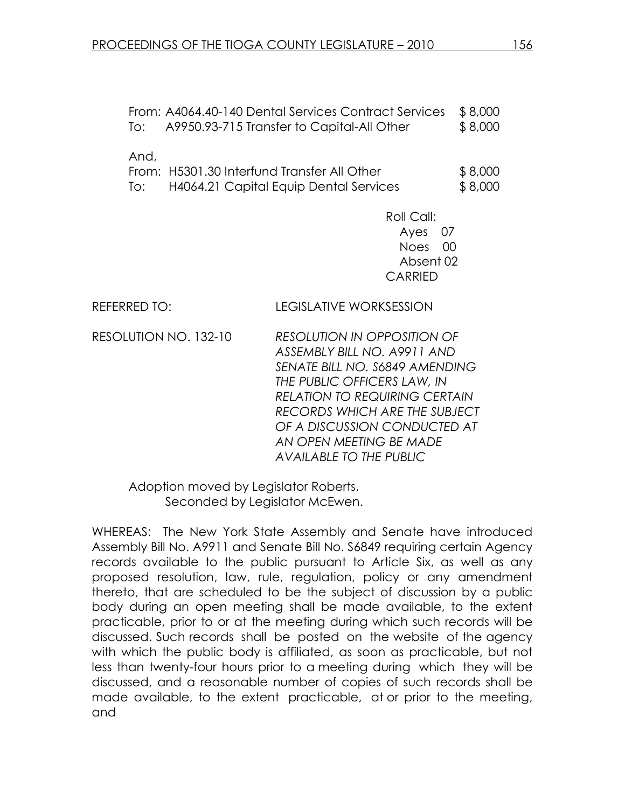| lo: I | From: A4064.40-140 Dental Services Contract Services<br>A9950.93-715 Transfer to Capital-All Other | \$8,000<br>\$8,000 |
|-------|----------------------------------------------------------------------------------------------------|--------------------|
| And,  | From: H5301.30 Interfund Transfer All Other                                                        | \$8,000            |
| lo: I | H4064.21 Capital Equip Dental Services                                                             | \$8,000            |

 Roll Call: Ayes 07 Noes 00 Absent 02 CARRIED

REFERRED TO: LEGISLATIVE WORKSESSION

RESOLUTION NO. 132-10 RESOLUTION IN OPPOSITION OF ASSEMBLY BILL NO. A9911 AND SENATE BILL NO. S6849 AMENDING THE PUBLIC OFFICERS LAW, IN RELATION TO REQUIRING CERTAIN RECORDS WHICH ARE THE SUBJECT OF A DISCUSSION CONDUCTED AT AN OPEN MEETING BE MADE AVAILABLE TO THE PUBLIC

 Adoption moved by Legislator Roberts, Seconded by Legislator McEwen.

WHEREAS: The New York State Assembly and Senate have introduced Assembly Bill No. A9911 and Senate Bill No. S6849 requiring certain Agency records available to the public pursuant to Article Six, as well as any proposed resolution, law, rule, regulation, policy or any amendment thereto, that are scheduled to be the subject of discussion by a public body during an open meeting shall be made available, to the extent practicable, prior to or at the meeting during which such records will be discussed. Such records shall be posted on the website of the agency with which the public body is affiliated, as soon as practicable, but not less than twenty-four hours prior to a meeting during which they will be discussed, and a reasonable number of copies of such records shall be made available, to the extent practicable, at or prior to the meeting, and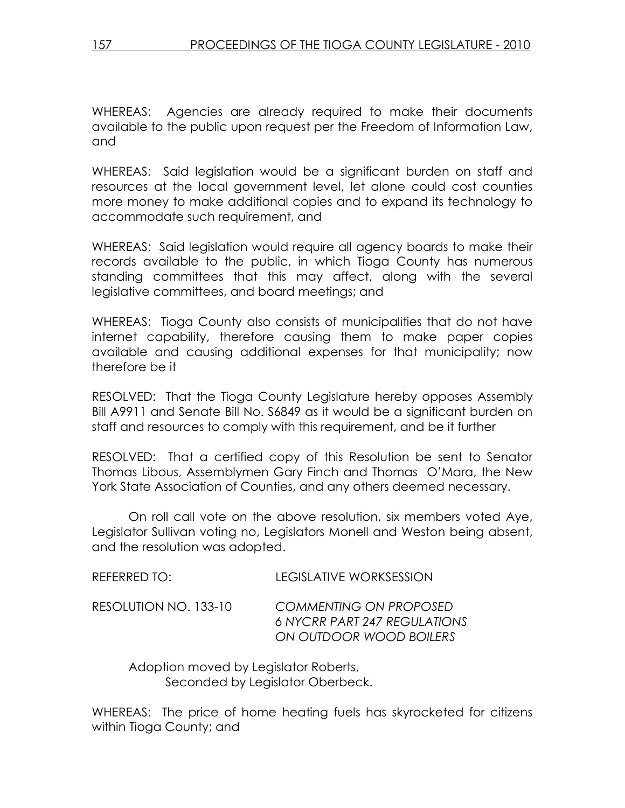WHEREAS: Agencies are already required to make their documents available to the public upon request per the Freedom of Information Law, and

WHEREAS: Said legislation would be a significant burden on staff and resources at the local government level, let alone could cost counties more money to make additional copies and to expand its technology to accommodate such requirement, and

WHEREAS: Said legislation would require all agency boards to make their records available to the public, in which Tioga County has numerous standing committees that this may affect, along with the several legislative committees, and board meetings; and

WHEREAS: Tioga County also consists of municipalities that do not have internet capability, therefore causing them to make paper copies available and causing additional expenses for that municipality; now therefore be it

RESOLVED: That the Tioga County Legislature hereby opposes Assembly Bill A9911 and Senate Bill No. S6849 as it would be a significant burden on staff and resources to comply with this requirement, and be it further

RESOLVED: That a certified copy of this Resolution be sent to Senator Thomas Libous, Assemblymen Gary Finch and Thomas O'Mara, the New York State Association of Counties, and any others deemed necessary.

 On roll call vote on the above resolution, six members voted Aye, Legislator Sullivan voting no, Legislators Monell and Weston being absent, and the resolution was adopted.

| REFERRED TO:          | LEGISLATIVE WORKSESSION                                                                         |
|-----------------------|-------------------------------------------------------------------------------------------------|
| RESOLUTION NO. 133-10 | <b>COMMENTING ON PROPOSED</b><br><b>6 NYCRR PART 247 REGULATIONS</b><br>ON OUTDOOR WOOD BOILERS |

 Adoption moved by Legislator Roberts, Seconded by Legislator Oberbeck.

WHEREAS: The price of home heating fuels has skyrocketed for citizens within Tioga County; and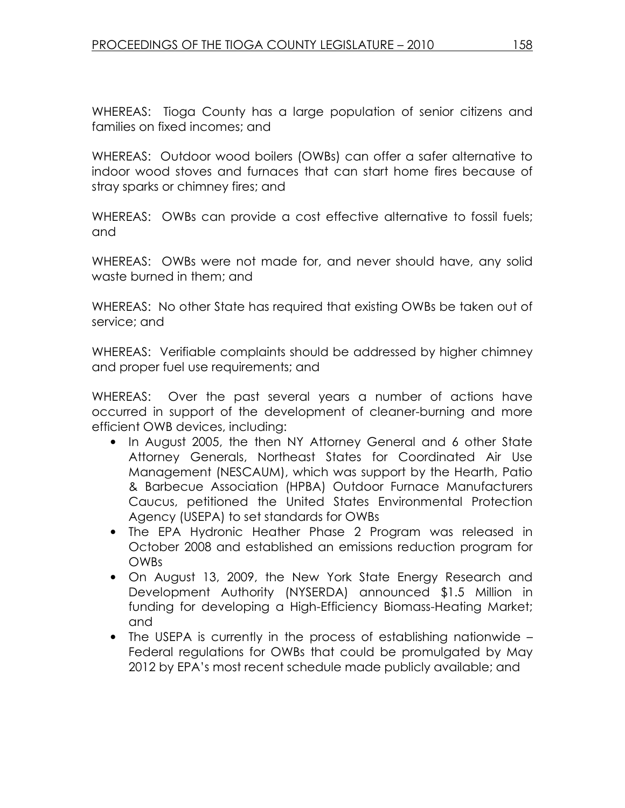WHEREAS: Tioga County has a large population of senior citizens and families on fixed incomes; and

WHEREAS: Outdoor wood boilers (OWBs) can offer a safer alternative to indoor wood stoves and furnaces that can start home fires because of stray sparks or chimney fires; and

WHEREAS: OWBs can provide a cost effective alternative to fossil fuels; and

WHEREAS: OWBs were not made for, and never should have, any solid waste burned in them; and

WHEREAS: No other State has required that existing OWBs be taken out of service; and

WHEREAS: Verifiable complaints should be addressed by higher chimney and proper fuel use requirements; and

WHEREAS: Over the past several years a number of actions have occurred in support of the development of cleaner-burning and more efficient OWB devices, including:

- In August 2005, the then NY Attorney General and 6 other State Attorney Generals, Northeast States for Coordinated Air Use Management (NESCAUM), which was support by the Hearth, Patio & Barbecue Association (HPBA) Outdoor Furnace Manufacturers Caucus, petitioned the United States Environmental Protection Agency (USEPA) to set standards for OWBs
- The EPA Hydronic Heather Phase 2 Program was released in October 2008 and established an emissions reduction program for OWBs
- On August 13, 2009, the New York State Energy Research and Development Authority (NYSERDA) announced \$1.5 Million in funding for developing a High-Efficiency Biomass-Heating Market; and
- The USEPA is currently in the process of establishing nationwide Federal regulations for OWBs that could be promulgated by May 2012 by EPA's most recent schedule made publicly available; and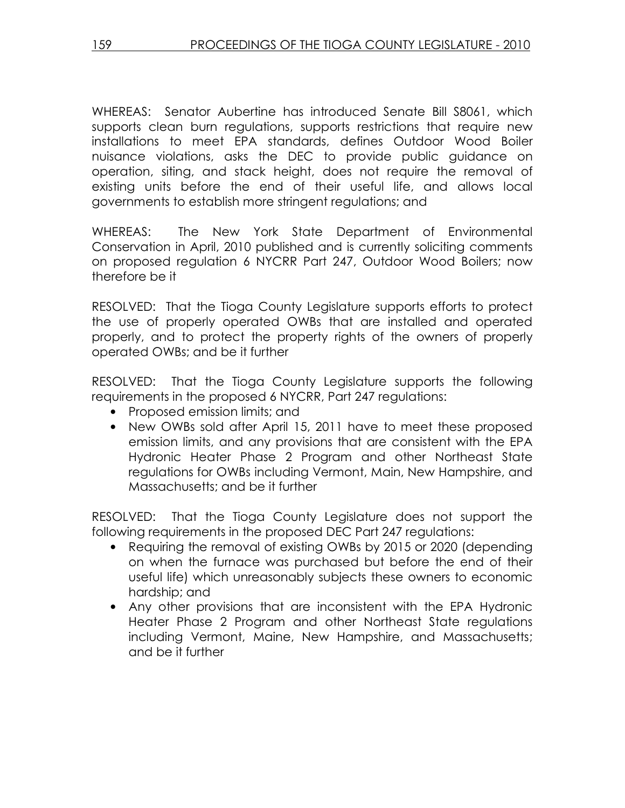WHEREAS: Senator Aubertine has introduced Senate Bill S8061, which supports clean burn regulations, supports restrictions that require new installations to meet EPA standards, defines Outdoor Wood Boiler nuisance violations, asks the DEC to provide public guidance on operation, siting, and stack height, does not require the removal of existing units before the end of their useful life, and allows local governments to establish more stringent regulations; and

WHEREAS: The New York State Department of Environmental Conservation in April, 2010 published and is currently soliciting comments on proposed regulation 6 NYCRR Part 247, Outdoor Wood Boilers; now therefore be it

RESOLVED: That the Tioga County Legislature supports efforts to protect the use of properly operated OWBs that are installed and operated properly, and to protect the property rights of the owners of properly operated OWBs; and be it further

RESOLVED: That the Tioga County Legislature supports the following requirements in the proposed 6 NYCRR, Part 247 regulations:

- Proposed emission limits; and
- New OWBs sold after April 15, 2011 have to meet these proposed emission limits, and any provisions that are consistent with the EPA Hydronic Heater Phase 2 Program and other Northeast State regulations for OWBs including Vermont, Main, New Hampshire, and Massachusetts; and be it further

RESOLVED: That the Tioga County Legislature does not support the following requirements in the proposed DEC Part 247 regulations:

- Requiring the removal of existing OWBs by 2015 or 2020 (depending on when the furnace was purchased but before the end of their useful life) which unreasonably subjects these owners to economic hardship; and
- Any other provisions that are inconsistent with the EPA Hydronic Heater Phase 2 Program and other Northeast State regulations including Vermont, Maine, New Hampshire, and Massachusetts; and be it further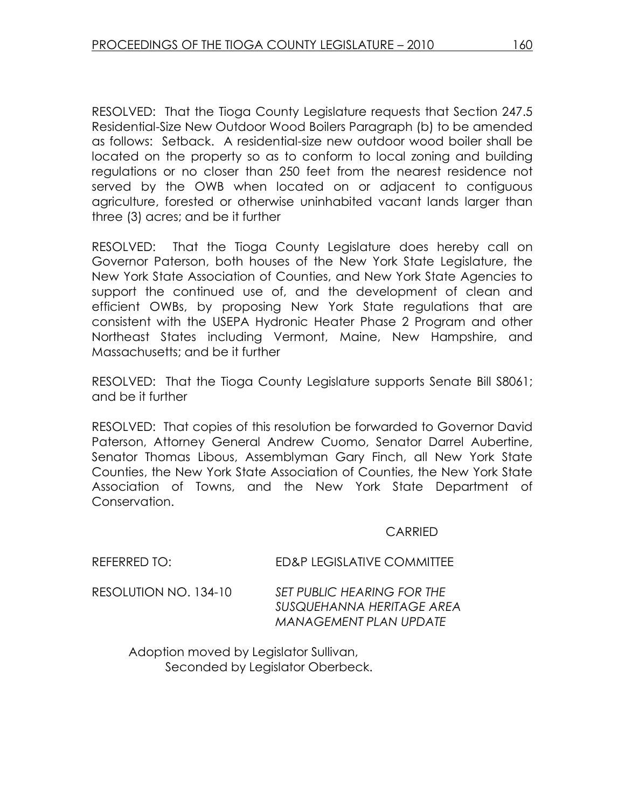RESOLVED: That the Tioga County Legislature requests that Section 247.5 Residential-Size New Outdoor Wood Boilers Paragraph (b) to be amended as follows: Setback. A residential-size new outdoor wood boiler shall be located on the property so as to conform to local zoning and building regulations or no closer than 250 feet from the nearest residence not served by the OWB when located on or adjacent to contiguous agriculture, forested or otherwise uninhabited vacant lands larger than three (3) acres; and be it further

RESOLVED: That the Tioga County Legislature does hereby call on Governor Paterson, both houses of the New York State Legislature, the New York State Association of Counties, and New York State Agencies to support the continued use of, and the development of clean and efficient OWBs, by proposing New York State regulations that are consistent with the USEPA Hydronic Heater Phase 2 Program and other Northeast States including Vermont, Maine, New Hampshire, and Massachusetts; and be it further

RESOLVED: That the Tioga County Legislature supports Senate Bill S8061; and be it further

RESOLVED: That copies of this resolution be forwarded to Governor David Paterson, Attorney General Andrew Cuomo, Senator Darrel Aubertine, Senator Thomas Libous, Assemblyman Gary Finch, all New York State Counties, the New York State Association of Counties, the New York State Association of Towns, and the New York State Department of Conservation.

#### **CARRIED**

| REFERRED TO:          | ED&P LEGISLATIVE COMMITTEE                                                               |
|-----------------------|------------------------------------------------------------------------------------------|
| RESOLUTION NO. 134-10 | SET PUBLIC HEARING FOR THE<br>SUSQUEHANNA HERITAGE AREA<br><b>MANAGEMENT PLAN UPDATE</b> |

 Adoption moved by Legislator Sullivan, Seconded by Legislator Oberbeck.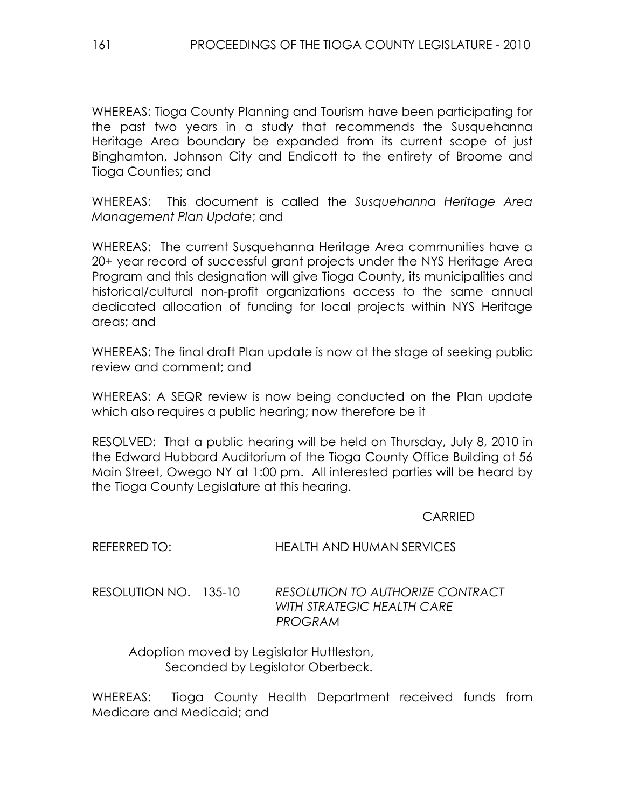WHEREAS: Tioga County Planning and Tourism have been participating for the past two years in a study that recommends the Susquehanna Heritage Area boundary be expanded from its current scope of just Binghamton, Johnson City and Endicott to the entirety of Broome and Tioga Counties; and

WHEREAS: This document is called the Susquehanna Heritage Area Management Plan Update; and

WHEREAS: The current Susquehanna Heritage Area communities have a 20+ year record of successful grant projects under the NYS Heritage Area Program and this designation will give Tioga County, its municipalities and historical/cultural non-profit organizations access to the same annual dedicated allocation of funding for local projects within NYS Heritage areas; and

WHEREAS: The final draft Plan update is now at the stage of seeking public review and comment; and

WHEREAS: A SEQR review is now being conducted on the Plan update which also requires a public hearing; now therefore be it

RESOLVED: That a public hearing will be held on Thursday, July 8, 2010 in the Edward Hubbard Auditorium of the Tioga County Office Building at 56 Main Street, Owego NY at 1:00 pm. All interested parties will be heard by the Tioga County Legislature at this hearing.

CARRIED

| RESOLUTION NO. 135-10 | RESOLUTION TO AUTHORIZE CONTRACT |
|-----------------------|----------------------------------|
|                       | WITH STRATEGIC HEALTH CARE       |
|                       | PROGRAM                          |

REFERRED TO: HEALTH AND HUMAN SERVICES

 Adoption moved by Legislator Huttleston, Seconded by Legislator Oberbeck.

WHEREAS: Tioga County Health Department received funds from Medicare and Medicaid; and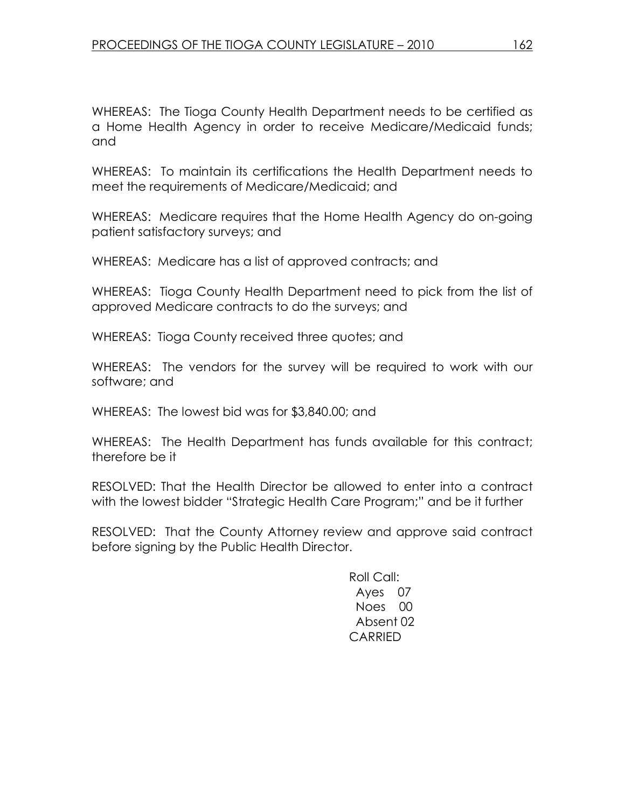WHEREAS: The Tioga County Health Department needs to be certified as a Home Health Agency in order to receive Medicare/Medicaid funds; and

WHEREAS: To maintain its certifications the Health Department needs to meet the requirements of Medicare/Medicaid; and

WHEREAS: Medicare requires that the Home Health Agency do on-going patient satisfactory surveys; and

WHEREAS: Medicare has a list of approved contracts; and

WHEREAS: Tioga County Health Department need to pick from the list of approved Medicare contracts to do the surveys; and

WHEREAS: Tioga County received three quotes; and

WHEREAS: The vendors for the survey will be required to work with our software; and

WHEREAS: The lowest bid was for \$3,840.00; and

WHEREAS: The Health Department has funds available for this contract; therefore be it

RESOLVED: That the Health Director be allowed to enter into a contract with the lowest bidder "Strategic Health Care Program;" and be it further

RESOLVED: That the County Attorney review and approve said contract before signing by the Public Health Director.

> Roll Call: Ayes 07 Noes 00 Absent 02 CARRIED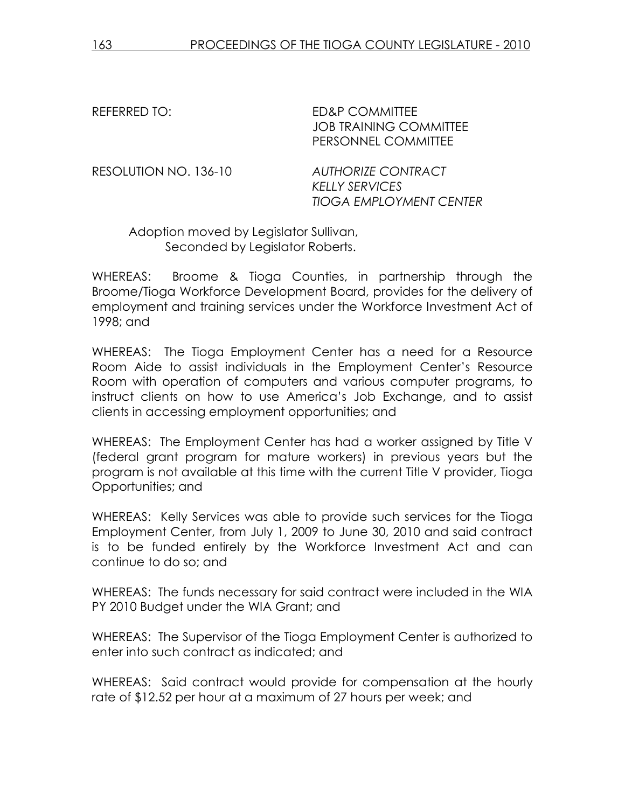REFERRED TO: ED&P COMMITTEE JOB TRAINING COMMITTEE PERSONNEL COMMITTEE

RESOLUTION NO. 136-10 AUTHORIZE CONTRACT KELLY SERVICES TIOGA EMPLOYMENT CENTER

 Adoption moved by Legislator Sullivan, Seconded by Legislator Roberts.

WHEREAS: Broome & Tioga Counties, in partnership through the Broome/Tioga Workforce Development Board, provides for the delivery of employment and training services under the Workforce Investment Act of 1998; and

WHEREAS: The Tioga Employment Center has a need for a Resource Room Aide to assist individuals in the Employment Center's Resource Room with operation of computers and various computer programs, to instruct clients on how to use America's Job Exchange, and to assist clients in accessing employment opportunities; and

WHEREAS: The Employment Center has had a worker assigned by Title V (federal grant program for mature workers) in previous years but the program is not available at this time with the current Title V provider, Tioga Opportunities; and

WHEREAS: Kelly Services was able to provide such services for the Tioga Employment Center, from July 1, 2009 to June 30, 2010 and said contract is to be funded entirely by the Workforce Investment Act and can continue to do so; and

WHEREAS: The funds necessary for said contract were included in the WIA PY 2010 Budget under the WIA Grant; and

WHEREAS: The Supervisor of the Tioga Employment Center is authorized to enter into such contract as indicated; and

WHEREAS: Said contract would provide for compensation at the hourly rate of \$12.52 per hour at a maximum of 27 hours per week; and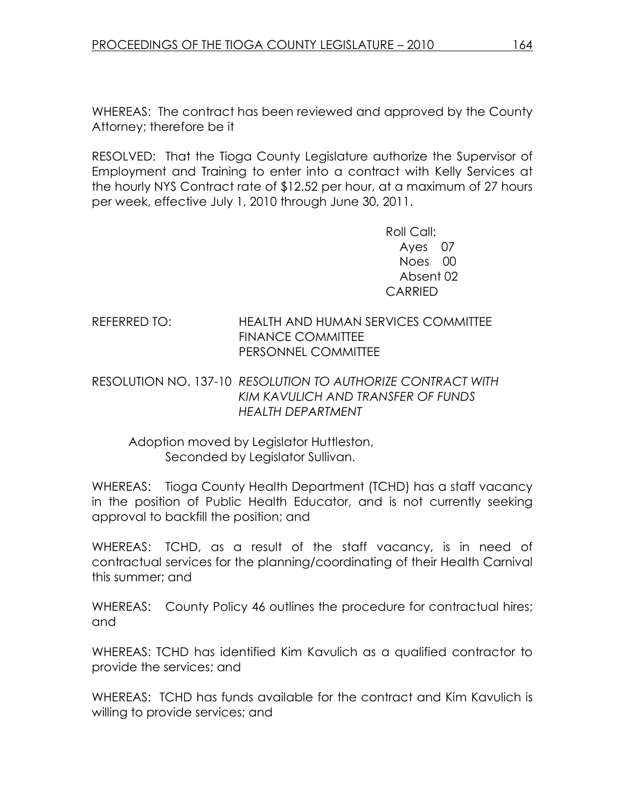WHEREAS: The contract has been reviewed and approved by the County Attorney; therefore be it

RESOLVED: That the Tioga County Legislature authorize the Supervisor of Employment and Training to enter into a contract with Kelly Services at the hourly NYS Contract rate of \$12.52 per hour, at a maximum of 27 hours per week, effective July 1, 2010 through June 30, 2011.

> Roll Call: Ayes 07 Noes 00 Absent 02 CARRIED

### REFERRED TO: HEALTH AND HUMAN SERVICES COMMITTEE FINANCE COMMITTEE PERSONNEL COMMITTEE

### RESOLUTION NO. 137-10 RESOLUTION TO AUTHORIZE CONTRACT WITH KIM KAVULICH AND TRANSFER OF FUNDS HEALTH DEPARTMENT

## Adoption moved by Legislator Huttleston, Seconded by Legislator Sullivan.

WHEREAS: Tioga County Health Department (TCHD) has a staff vacancy in the position of Public Health Educator, and is not currently seeking approval to backfill the position; and

WHEREAS: TCHD, as a result of the staff vacancy, is in need of contractual services for the planning/coordinating of their Health Carnival this summer; and

WHEREAS: County Policy 46 outlines the procedure for contractual hires; and

WHEREAS: TCHD has identified Kim Kavulich as a qualified contractor to provide the services; and

WHEREAS: TCHD has funds available for the contract and Kim Kavulich is willing to provide services; and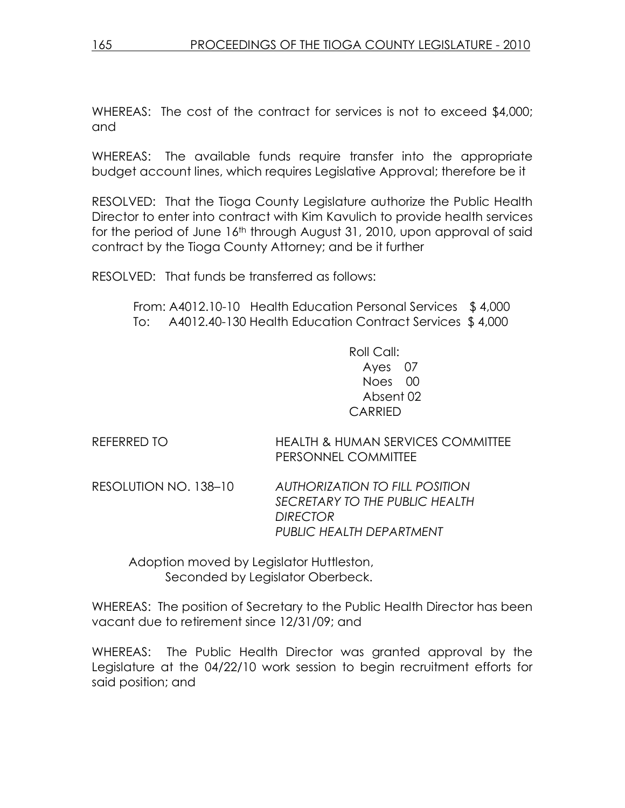WHEREAS: The cost of the contract for services is not to exceed \$4,000; and

WHEREAS: The available funds require transfer into the appropriate budget account lines, which requires Legislative Approval; therefore be it

RESOLVED: That the Tioga County Legislature authorize the Public Health Director to enter into contract with Kim Kavulich to provide health services for the period of June 16<sup>th</sup> through August 31, 2010, upon approval of said contract by the Tioga County Attorney; and be it further

RESOLVED: That funds be transferred as follows:

 From: A4012.10-10 Health Education Personal Services \$ 4,000 To: A4012.40-130 Health Education Contract Services \$ 4,000

> Roll Call: Ayes 07 Noes 00 Absent 02 CARRIED

REFERRED TO HEALTH & HUMAN SERVICES COMMITTEE PERSONNEL COMMITTEE

RESOLUTION NO. 138–10 AUTHORIZATION TO FILL POSITION SECRETARY TO THE PUBLIC HEALTH **DIRECTOR** PUBLIC HEALTH DEPARTMENT

 Adoption moved by Legislator Huttleston, Seconded by Legislator Oberbeck.

WHEREAS: The position of Secretary to the Public Health Director has been vacant due to retirement since 12/31/09; and

WHEREAS: The Public Health Director was granted approval by the Legislature at the 04/22/10 work session to begin recruitment efforts for said position; and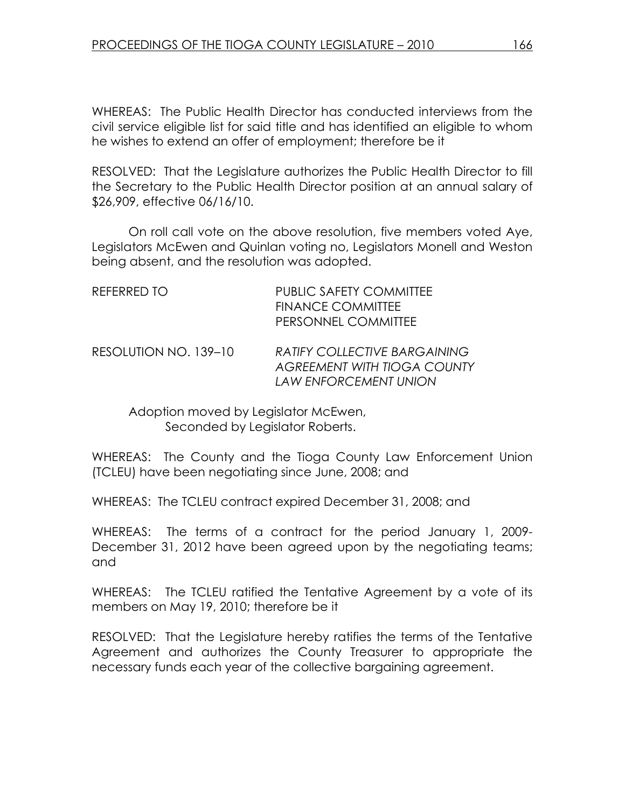WHEREAS: The Public Health Director has conducted interviews from the civil service eligible list for said title and has identified an eligible to whom he wishes to extend an offer of employment; therefore be it

RESOLVED: That the Legislature authorizes the Public Health Director to fill the Secretary to the Public Health Director position at an annual salary of \$26,909, effective 06/16/10.

 On roll call vote on the above resolution, five members voted Aye, Legislators McEwen and Quinlan voting no, Legislators Monell and Weston being absent, and the resolution was adopted.

| REFERRED TO | PUBLIC SAFETY COMMITTEE |
|-------------|-------------------------|
|             | FINANCE COMMITTEE       |
|             | PERSONNEL COMMITTEE     |
|             |                         |

### RESOLUTION NO. 139–10 RATIFY COLLECTIVE BARGAINING AGREEMENT WITH TIOGA COUNTY LAW ENFORCEMENT UNION

 Adoption moved by Legislator McEwen, Seconded by Legislator Roberts.

WHEREAS: The County and the Tioga County Law Enforcement Union (TCLEU) have been negotiating since June, 2008; and

WHEREAS: The TCLEU contract expired December 31, 2008; and

WHEREAS: The terms of a contract for the period January 1, 2009- December 31, 2012 have been agreed upon by the negotiating teams; and

WHEREAS: The TCLEU ratified the Tentative Agreement by a vote of its members on May 19, 2010; therefore be it

RESOLVED: That the Legislature hereby ratifies the terms of the Tentative Agreement and authorizes the County Treasurer to appropriate the necessary funds each year of the collective bargaining agreement.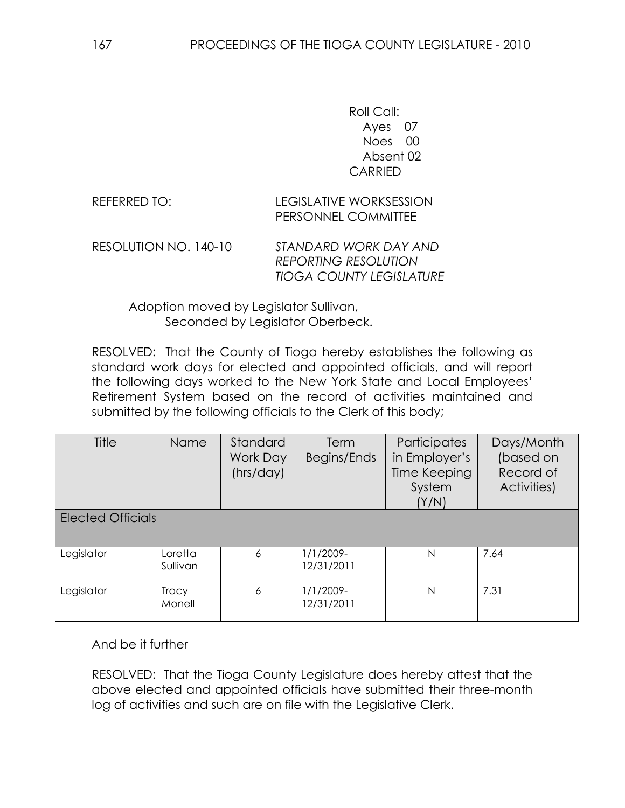Roll Call: Ayes 07 Noes 00 Absent 02 CARRIED

REFERRED TO: LEGISLATIVE WORKSESSION PERSONNEL COMMITTEE

RESOLUTION NO. 140-10 STANDARD WORK DAY AND REPORTING RESOLUTION TIOGA COUNTY LEGISLATURE

 Adoption moved by Legislator Sullivan, Seconded by Legislator Oberbeck.

RESOLVED: That the County of Tioga hereby establishes the following as standard work days for elected and appointed officials, and will report the following days worked to the New York State and Local Employees' Retirement System based on the record of activities maintained and submitted by the following officials to the Clerk of this body;

| Title                    | Name                   | Standard<br>Work Day<br>(hrs/day) | <b>Term</b><br>Begins/Ends | Participates<br>in Employer's<br>Time Keeping<br>System<br>(Y/N) | Days/Month<br>(based on<br>Record of<br>Activities) |
|--------------------------|------------------------|-----------------------------------|----------------------------|------------------------------------------------------------------|-----------------------------------------------------|
| <b>Elected Officials</b> |                        |                                   |                            |                                                                  |                                                     |
| Legislator               | Loretta<br>Sullivan    | 6                                 | 1/1/2009-<br>12/31/2011    | N                                                                | 7.64                                                |
| Legislator               | <b>Tracy</b><br>Monell | 6                                 | 1/1/2009-<br>12/31/2011    | N                                                                | 7.31                                                |

And be it further

RESOLVED: That the Tioga County Legislature does hereby attest that the above elected and appointed officials have submitted their three-month log of activities and such are on file with the Legislative Clerk.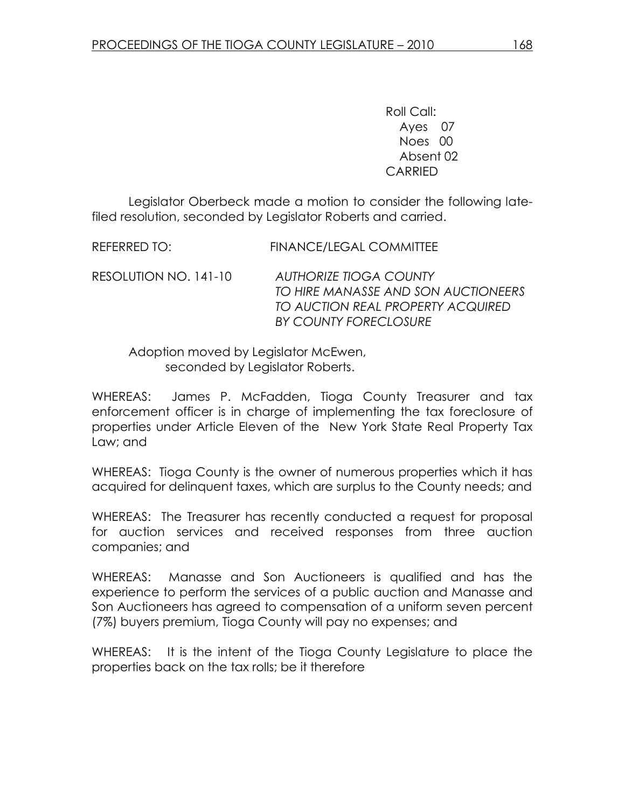Roll Call: Ayes 07 Noes 00 Absent 02 CARRIED

 Legislator Oberbeck made a motion to consider the following latefiled resolution, seconded by Legislator Roberts and carried.

REFERRED TO: FINANCE/LEGAL COMMITTEE RESOLUTION NO. 141-10 AUTHORIZE TIOGA COUNTY TO HIRE MANASSE AND SON AUCTIONEERS TO AUCTION REAL PROPERTY ACQUIRED BY COUNTY FORECLOSURE

 Adoption moved by Legislator McEwen, seconded by Legislator Roberts.

WHEREAS: James P. McFadden, Tioga County Treasurer and tax enforcement officer is in charge of implementing the tax foreclosure of properties under Article Eleven of the New York State Real Property Tax Law; and

WHEREAS: Tioga County is the owner of numerous properties which it has acquired for delinquent taxes, which are surplus to the County needs; and

WHEREAS: The Treasurer has recently conducted a request for proposal for auction services and received responses from three auction companies; and

WHEREAS: Manasse and Son Auctioneers is qualified and has the experience to perform the services of a public auction and Manasse and Son Auctioneers has agreed to compensation of a uniform seven percent (7%) buyers premium, Tioga County will pay no expenses; and

WHEREAS: It is the intent of the Tioga County Legislature to place the properties back on the tax rolls; be it therefore